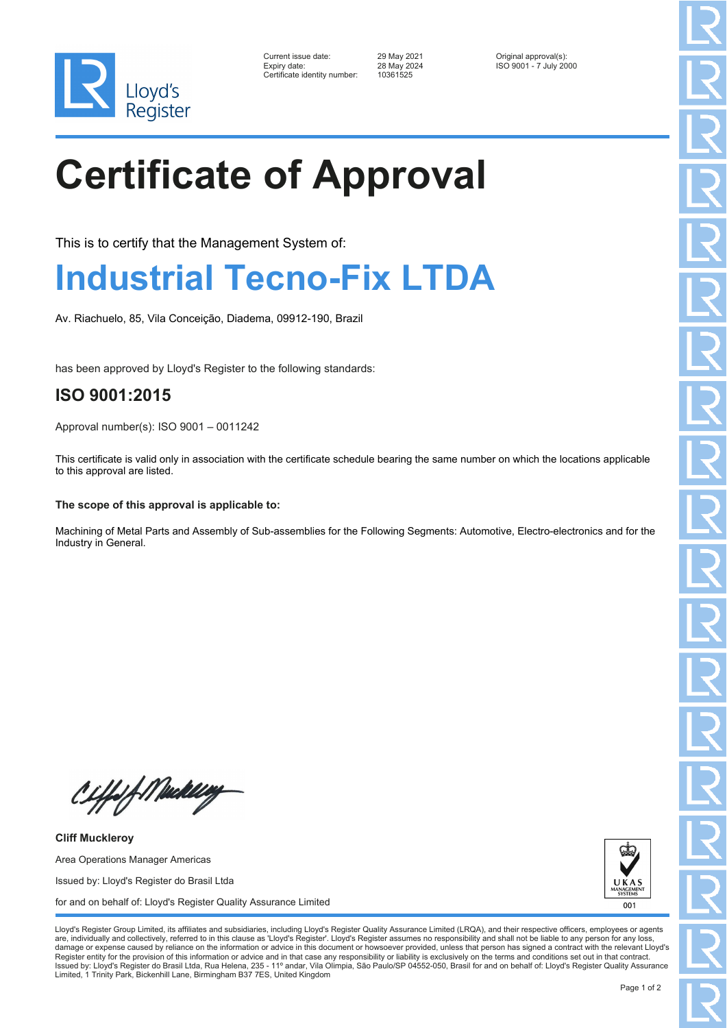

| Current issue date:          | 29 May 2021 | Original approval(s):  |
|------------------------------|-------------|------------------------|
| Expiry date:                 | 28 May 2024 | ISO 9001 - 7 July 2000 |
| Certificate identity number: | 10361525    |                        |

Certificate identity number: 10361525

# **Certificate of Approval**

This is to certify that the Management System of:

## **Industrial Tecno-Fix LTDA**

Av. Riachuelo, 85, Vila Conceição, Diadema, 09912-190, Brazil

has been approved by Lloyd's Register to the following standards:

### **ISO 9001:2015**

Approval number(s): ISO 9001 – 0011242

This certificate is valid only in association with the certificate schedule bearing the same number on which the locations applicable to this approval are listed.

#### **The scope of this approval is applicable to:**

Machining of Metal Parts and Assembly of Sub-assemblies for the Following Segments: Automotive, Electro-electronics and for the Industry in General.

Ciffsf Mukling

**Cliff Muckleroy** Area Operations Manager Americas Issued by: Lloyd's Register do Brasil Ltda for and on behalf of: Lloyd's Register Quality Assurance Limited



Lloyd's Register Group Limited, its affiliates and subsidiaries, including Lloyd's Register Quality Assurance Limited (LRQA), and their respective officers, employees or agents are, individually and collectively, referred to in this clause as 'Lloyd's Register'. Lloyd's Register assumes no responsibility and shall not be liable to any person for any los damage or expense caused by reliance on the information or advice in this document or howsoever provided, unless that person has signed a contract with the relevant Lloyd's<br>Register entity for the provision of this informa Issued by: Lloyd's Register do Brasil Ltda, Rua Helena, 235 - 11º andar, Vila Olimpia, São Paulo/SP 04552-050, Brasil for and on behalf of: Lloyd's Register Quality Assurance Limited, 1 Trinity Park, Bickenhill Lane, Birmingham B37 7ES, United Kingdom